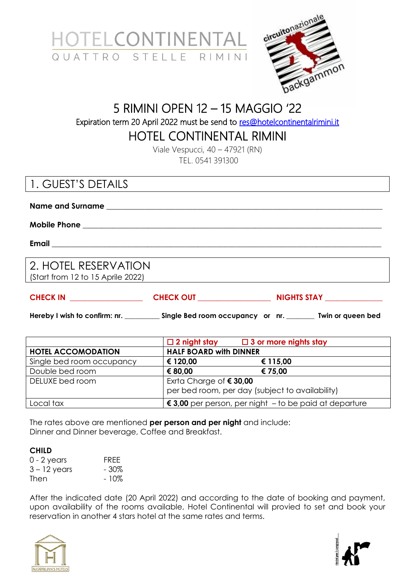



# 5 RIMINI OPEN 12 – 15 MAGGIO '22 Expiration term 20 April 2022 must be send to [res@hotelcontinentalrimini.it](mailto:res@hotelcontinentalrimini.it)

HOTEL CONTINENTAL RIMINI

Viale Vespucci, 40 – 47921 (RN) TEL. 0541 391300

## 1. GUEST'S DETAILS

**Name and Surname \_\_\_\_\_\_\_\_\_\_\_\_\_\_\_\_\_\_\_\_\_\_\_\_\_\_\_\_\_\_\_\_\_\_\_\_\_\_\_\_\_\_\_\_\_\_\_\_\_\_\_\_\_\_\_\_\_\_\_\_\_\_\_\_\_\_\_\_\_\_\_\_**

**Mobile Phone \_\_\_\_\_\_\_\_\_\_\_\_\_\_\_\_\_\_\_\_\_\_\_\_\_\_\_\_\_\_\_\_\_\_\_\_\_\_\_\_\_\_\_\_\_\_\_\_\_\_\_\_\_\_\_\_\_\_\_\_\_\_\_\_\_\_\_\_\_\_\_\_\_\_\_\_\_\_**

**Email \_\_\_\_\_\_\_\_\_\_\_\_\_\_\_\_\_\_\_\_\_\_\_\_\_\_\_\_\_\_\_\_\_\_\_\_\_\_\_\_\_\_\_\_\_\_\_\_\_\_\_\_\_\_\_\_\_\_\_\_\_\_\_\_\_\_\_\_\_\_\_\_\_\_\_\_\_\_\_\_\_\_\_\_\_\_**

2. HOTEL RESERVATION (Start from 12 to 15 Aprile 2022)

| <b>CHECK IN</b> | <b>CHECK OUT</b> | <b>NIGHTS STAY</b> |
|-----------------|------------------|--------------------|
|                 |                  |                    |

**Hereby I wish to confirm: nr. \_\_\_\_\_\_\_\_\_\_ Single Bed room occupancy or nr. \_\_\_\_\_\_\_\_ Twin or queen bed**

|                           | $\square$ 2 night stay                                                              | $\Box$ 3 or more nights stay |
|---------------------------|-------------------------------------------------------------------------------------|------------------------------|
| <b>HOTEL ACCOMODATION</b> | <b>HALF BOARD with DINNER</b>                                                       |                              |
| Single bed room occupancy | € 120,00                                                                            | € 115,00                     |
| Double bed room           | € 80,00                                                                             | € 75,00                      |
| DELUXE bed room           | Exrta Charge of $\epsilon$ 30,00<br>per bed room, per day (subject to availability) |                              |
| Local tax                 | € 3,00 per person, per night $-$ to be paid at departure                            |                              |

The rates above are mentioned **per person and per night** and include: Dinner and Dinner beverage, Coffee and Breakfast.

#### **CHILD**

| 0 - 2 years    | FRFF    |
|----------------|---------|
| $3 - 12$ years | $-30\%$ |
| Then           | - 10%   |

After the indicated date (20 April 2022) and according to the date of booking and payment, upon availability of the rooms available, Hotel Continental will provied to set and book your reservation in another 4 stars hotel at the same rates and terms.